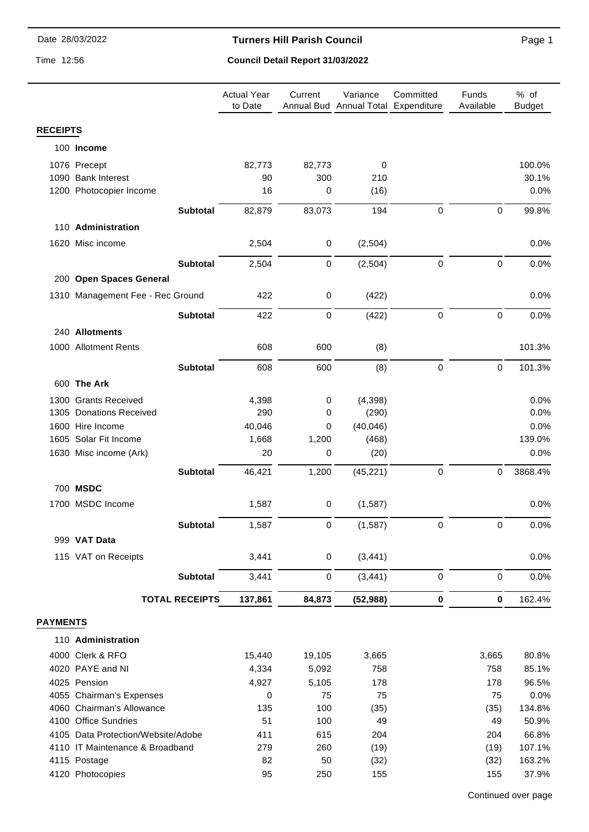#### **Turners Hill Parish Council**

Time 12:56

# **Council Detail Report 31/03/2022**

|                 |                                    | <b>Actual Year</b><br>to Date | Current     | Variance<br>Annual Bud Annual Total Expenditure | Committed        | Funds<br>Available | % of<br><b>Budget</b> |
|-----------------|------------------------------------|-------------------------------|-------------|-------------------------------------------------|------------------|--------------------|-----------------------|
| <b>RECEIPTS</b> |                                    |                               |             |                                                 |                  |                    |                       |
|                 | 100 Income                         |                               |             |                                                 |                  |                    |                       |
|                 | 1076 Precept                       | 82,773                        | 82,773      | 0                                               |                  |                    | 100.0%                |
|                 | 1090 Bank Interest                 | 90                            | 300         | 210                                             |                  |                    | 30.1%                 |
|                 | 1200 Photocopier Income            | 16                            | 0           | (16)                                            |                  |                    | 0.0%                  |
|                 |                                    |                               |             |                                                 |                  |                    |                       |
|                 | <b>Subtotal</b>                    | 82,879                        | 83,073      | 194                                             | 0                | $\mathbf 0$        | 99.8%                 |
|                 | 110 Administration                 |                               |             |                                                 |                  |                    |                       |
|                 | 1620 Misc income                   | 2,504                         | $\pmb{0}$   | (2,504)                                         |                  |                    | 0.0%                  |
|                 | <b>Subtotal</b>                    | 2,504                         | 0           | (2,504)                                         | $\boldsymbol{0}$ | $\pmb{0}$          | 0.0%                  |
|                 | 200 Open Spaces General            |                               |             |                                                 |                  |                    |                       |
|                 | 1310 Management Fee - Rec Ground   | 422                           | 0           | (422)                                           |                  |                    | 0.0%                  |
|                 |                                    |                               |             |                                                 |                  |                    |                       |
|                 | <b>Subtotal</b>                    | 422                           | $\mathbf 0$ | (422)                                           | $\pmb{0}$        | $\mathbf 0$        | 0.0%                  |
|                 | 240 Allotments                     |                               |             |                                                 |                  |                    |                       |
|                 | 1000 Allotment Rents               | 608                           | 600         | (8)                                             |                  |                    | 101.3%                |
|                 | <b>Subtotal</b>                    | 608                           | 600         | (8)                                             | $\pmb{0}$        | $\pmb{0}$          | 101.3%                |
|                 |                                    |                               |             |                                                 |                  |                    |                       |
|                 | 600 The Ark                        |                               |             |                                                 |                  |                    |                       |
|                 | 1300 Grants Received               | 4,398                         | 0           | (4, 398)                                        |                  |                    | 0.0%                  |
|                 | 1305 Donations Received            | 290                           | 0           | (290)                                           |                  |                    | 0.0%                  |
|                 | 1600 Hire Income                   | 40,046                        | 0           | (40, 046)                                       |                  |                    | 0.0%                  |
|                 | 1605 Solar Fit Income              | 1,668                         | 1,200       | (468)                                           |                  |                    | 139.0%                |
|                 | 1630 Misc income (Ark)             | 20                            | 0           | (20)                                            |                  |                    | 0.0%                  |
|                 | <b>Subtotal</b>                    | 46,421                        | 1,200       | (45, 221)                                       | 0                | 0                  | 3868.4%               |
|                 | 700 MSDC                           |                               |             |                                                 |                  |                    |                       |
|                 | 1700 MSDC Income                   | 1,587                         | $\mathbf 0$ | (1,587)                                         |                  |                    | 0.0%                  |
|                 | <b>Subtotal</b>                    | 1,587                         | 0           | (1, 587)                                        | 0                | $\mathbf 0$        | 0.0%                  |
|                 | 999 VAT Data                       |                               |             |                                                 |                  |                    |                       |
|                 |                                    |                               |             |                                                 |                  |                    |                       |
|                 | 115 VAT on Receipts                | 3,441                         | $\pmb{0}$   | (3, 441)                                        |                  |                    | 0.0%                  |
|                 | <b>Subtotal</b>                    | 3,441                         | 0           | (3, 441)                                        | $\pmb{0}$        | $\pmb{0}$          | 0.0%                  |
|                 | <b>TOTAL RECEIPTS</b>              | 137,861                       | 84,873      | (52, 988)                                       | 0                | 0                  | 162.4%                |
| <b>PAYMENTS</b> |                                    |                               |             |                                                 |                  |                    |                       |
|                 | 110 Administration                 |                               |             |                                                 |                  |                    |                       |
|                 | 4000 Clerk & RFO                   | 15,440                        | 19,105      | 3,665                                           |                  | 3,665              | 80.8%                 |
|                 | 4020 PAYE and NI                   | 4,334                         | 5,092       | 758                                             |                  | 758                | 85.1%                 |
|                 | 4025 Pension                       | 4,927                         | 5,105       | 178                                             |                  | 178                | 96.5%                 |
|                 | 4055 Chairman's Expenses           | 0                             | 75          | 75                                              |                  | 75                 | 0.0%                  |
|                 | 4060 Chairman's Allowance          | 135                           | 100         | (35)                                            |                  | (35)               | 134.8%                |
|                 | 4100 Office Sundries               | 51                            | 100         | 49                                              |                  | 49                 | 50.9%                 |
|                 | 4105 Data Protection/Website/Adobe | 411                           | 615         | 204                                             |                  | 204                | 66.8%                 |
|                 | 4110 IT Maintenance & Broadband    | 279                           | 260         | (19)                                            |                  | (19)               | 107.1%                |
|                 | 4115 Postage                       | 82                            | 50          | (32)                                            |                  | (32)               | 163.2%                |
|                 | 4120 Photocopies                   | 95                            | 250         | 155                                             |                  | 155                | 37.9%                 |

Page 1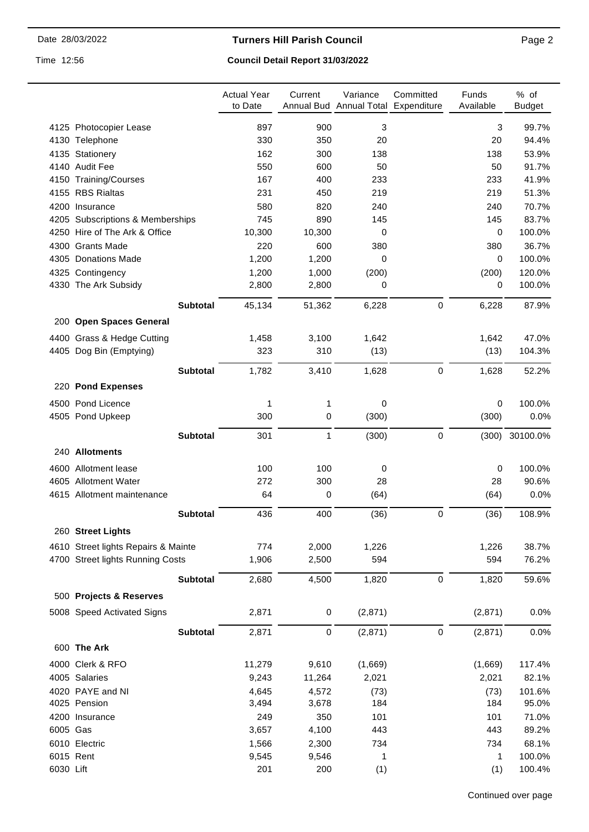# **Turners Hill Parish Council**

Time 12:56

# **Council Detail Report 31/03/2022**

|           |                                     | <b>Actual Year</b><br>to Date | Current   | Variance<br>Annual Bud Annual Total Expenditure | Committed        | Funds<br>Available | % of<br><b>Budget</b> |
|-----------|-------------------------------------|-------------------------------|-----------|-------------------------------------------------|------------------|--------------------|-----------------------|
|           | 4125 Photocopier Lease              | 897                           | 900       | 3                                               |                  | 3                  | 99.7%                 |
|           | 4130 Telephone                      | 330                           | 350       | 20                                              |                  | 20                 | 94.4%                 |
|           | 4135 Stationery                     | 162                           | 300       | 138                                             |                  | 138                | 53.9%                 |
|           | 4140 Audit Fee                      | 550                           | 600       | 50                                              |                  | 50                 | 91.7%                 |
|           | 4150 Training/Courses               | 167                           | 400       | 233                                             |                  | 233                | 41.9%                 |
|           | 4155 RBS Rialtas                    | 231                           | 450       | 219                                             |                  | 219                | 51.3%                 |
|           | 4200 Insurance                      | 580                           | 820       | 240                                             |                  | 240                | 70.7%                 |
|           | 4205 Subscriptions & Memberships    | 745                           | 890       | 145                                             |                  | 145                | 83.7%                 |
|           | 4250 Hire of The Ark & Office       | 10,300                        | 10,300    | 0                                               |                  | 0                  | 100.0%                |
|           | 4300 Grants Made                    | 220                           | 600       | 380                                             |                  | 380                | 36.7%                 |
|           | 4305 Donations Made                 | 1,200                         | 1,200     | $\Omega$                                        |                  | 0                  | 100.0%                |
|           | 4325 Contingency                    | 1,200                         | 1,000     | (200)                                           |                  | (200)              | 120.0%                |
|           | 4330 The Ark Subsidy                | 2,800                         | 2,800     | 0                                               |                  | 0                  | 100.0%                |
|           | <b>Subtotal</b>                     | 45,134                        | 51,362    | 6,228                                           | $\boldsymbol{0}$ | 6,228              | 87.9%                 |
|           | 200 Open Spaces General             |                               |           |                                                 |                  |                    |                       |
|           | 4400 Grass & Hedge Cutting          | 1,458                         | 3,100     | 1,642                                           |                  | 1,642              | 47.0%                 |
|           | 4405 Dog Bin (Emptying)             | 323                           | 310       | (13)                                            |                  | (13)               | 104.3%                |
|           | <b>Subtotal</b>                     | 1,782                         | 3,410     | 1,628                                           | $\pmb{0}$        | 1,628              | 52.2%                 |
|           | 220 Pond Expenses                   |                               |           |                                                 |                  |                    |                       |
|           | 4500 Pond Licence                   | 1                             | 1         | 0                                               |                  | 0                  | 100.0%                |
|           | 4505 Pond Upkeep                    | 300                           | 0         | (300)                                           |                  | (300)              | 0.0%                  |
|           | <b>Subtotal</b>                     | 301                           | 1         | (300)                                           | $\boldsymbol{0}$ | (300)              | 30100.0%              |
|           | 240 Allotments                      |                               |           |                                                 |                  |                    |                       |
|           | 4600 Allotment lease                | 100                           | 100       | 0                                               |                  | 0                  | 100.0%                |
|           | 4605 Allotment Water                | 272                           | 300       | 28                                              |                  | 28                 | 90.6%                 |
|           | 4615 Allotment maintenance          | 64                            | 0         | (64)                                            |                  | (64)               | 0.0%                  |
|           | <b>Subtotal</b>                     | 436                           | 400       | (36)                                            | $\mathbf 0$      | (36)               | 108.9%                |
|           | 260 Street Lights                   |                               |           |                                                 |                  |                    |                       |
|           | 4610 Street lights Repairs & Mainte | 774                           | 2,000     | 1,226                                           |                  | 1,226              | 38.7%                 |
|           | 4700 Street lights Running Costs    | 1,906                         | 2,500     | 594                                             |                  | 594                | 76.2%                 |
|           | <b>Subtotal</b>                     | 2,680                         | 4,500     | 1,820                                           | $\pmb{0}$        | 1,820              | 59.6%                 |
|           | 500 Projects & Reserves             |                               |           |                                                 |                  |                    |                       |
|           | 5008 Speed Activated Signs          | 2,871                         | $\pmb{0}$ | (2,871)                                         |                  | (2,871)            | 0.0%                  |
|           | <b>Subtotal</b>                     | 2,871                         | $\,0\,$   | (2,871)                                         | $\pmb{0}$        | (2,871)            | 0.0%                  |
|           | 600 The Ark                         |                               |           |                                                 |                  |                    |                       |
|           | 4000 Clerk & RFO                    | 11,279                        | 9,610     | (1,669)                                         |                  | (1,669)            | 117.4%                |
|           | 4005 Salaries                       | 9,243                         | 11,264    | 2,021                                           |                  | 2,021              | 82.1%                 |
|           | 4020 PAYE and NI                    | 4,645                         | 4,572     | (73)                                            |                  | (73)               | 101.6%                |
|           | 4025 Pension                        | 3,494                         | 3,678     | 184                                             |                  | 184                | 95.0%                 |
|           | 4200 Insurance                      | 249                           | 350       | 101                                             |                  | 101                | 71.0%                 |
| 6005 Gas  |                                     | 3,657                         | 4,100     | 443                                             |                  | 443                | 89.2%                 |
|           | 6010 Electric                       | 1,566                         | 2,300     | 734                                             |                  | 734                | 68.1%                 |
|           | 6015 Rent                           | 9,545                         | 9,546     | 1                                               |                  | 1                  | 100.0%                |
| 6030 Lift |                                     | 201                           | 200       | (1)                                             |                  | (1)                | 100.4%                |